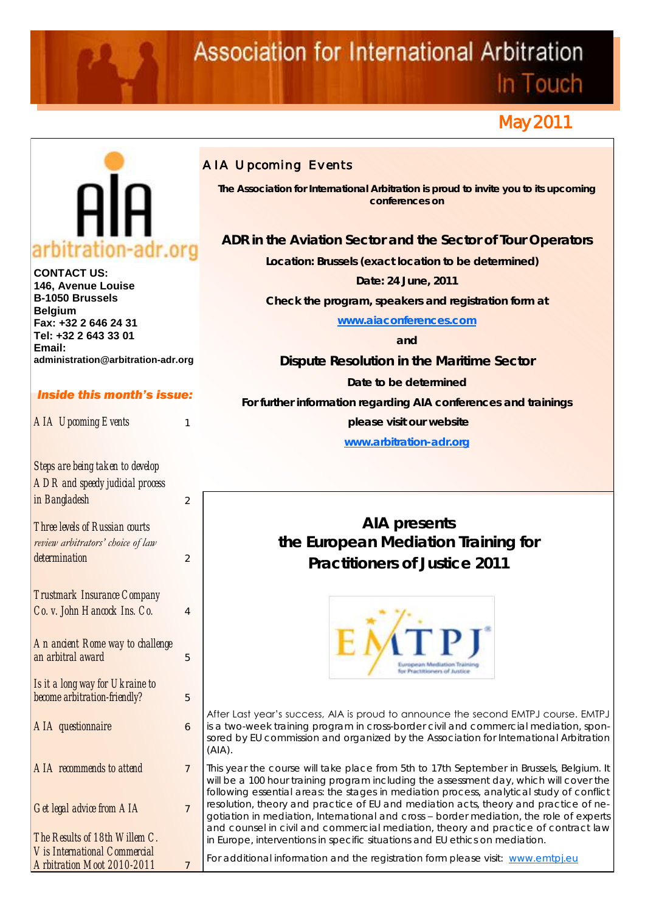# **Association for International Arbitration**

In Touch

## May 2011



**CONTACT US: 146, Avenue Louise B-1050 Brussels Belgium Fax: +32 2 646 24 31 Tel: +32 2 643 33 01 Email: administration@arbitration-adr.org**

#### *Inside this month's issue:*

**AIA Upcoming Events** 

*Steps are being taken to develop ADR and speedy judicial process in Bangladesh* 2 *Three levels of Russian courts* 

*review arbitrators' choice of law determination* 2 *Trustmark Insurance Company* 

*Co. v. John Hancock Ins. Co.* 4 *An ancient Rome way to challenge* 

*an arbitral award* 5

*Is it a long way for Ukraine to become arbitration-friendly?* 5 *AIA questionnaire* 6 *AIA recommends to attend*  $\overline{7}$ *Get legal advice from AIA* 7 *The Results of 18th Willem C.* 

*Vis International Commercial Arbitration Moot 2010-2011* 7

### *AIA Upcoming Events*

**The Association for International Arbitration is proud to invite you to its upcoming conferences on**

**ADR in the Aviation Sector and the Sector of Tour Operators**

**Location: Brussels (exact location to be determined)** 

**Date: 24 June, 2011**

**Check the program, speakers and registration form at**

**[www.aiaconferences.com](http://www.aiaconferences.com)** 

**and**

**Dispute Resolution in the Maritime Sector**

**Date to be determined**

**For further information regarding AIA conferences and trainings**

**please visit our website** 

**[www.arbitration-adr.org](http://www.arbitration-adr.org/)**

**AIA presents the European Mediation Training for Practitioners of Justice 2011**



After Last year's success, AIA is proud to announce the second EMTPJ course. EMTPJ is a two-week training program in cross-border civil and commercial mediation, sponsored by EU commission and organized by the Association for International Arbitration  $(A|A)$ .

This year the course will take place from 5th to 17th September in Brussels, Belgium. It will be a 100 hour training program including the assessment day, which will cover the following essential areas: the stages in mediation process, analytical study of conflict resolution, theory and practice of EU and mediation acts, theory and practice of negotiation in mediation, International and cross – border mediation, the role of experts and counsel in civil and commercial mediation, theory and practice of contract law in Europe, interventions in specific situations and EU ethics on mediation.

For additional information and the registration form please visit: [www.emtpj.eu](http://www.emtpj.eu/)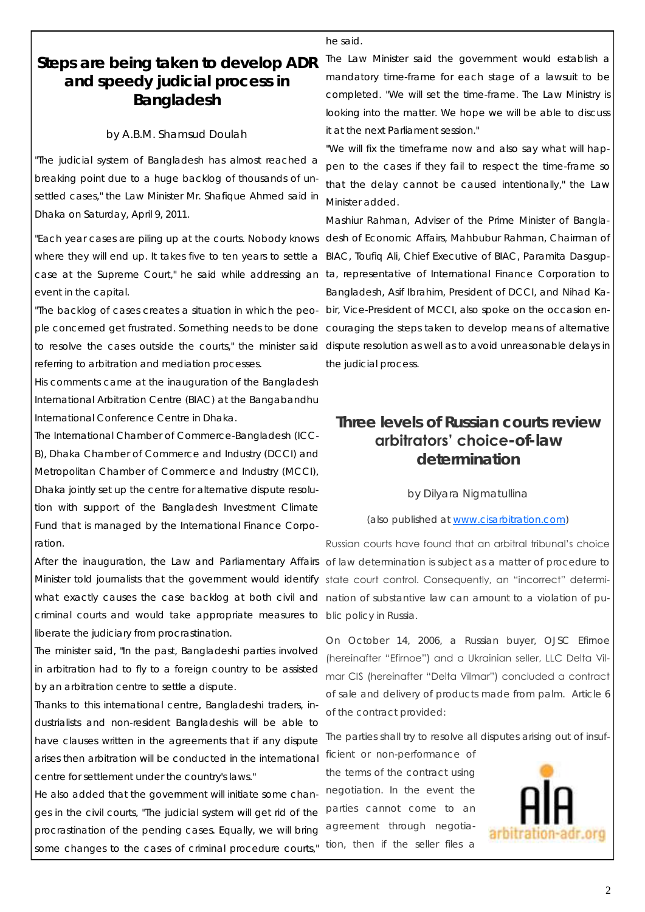he said.

### **Steps are being taken to develop ADR and speedy judicial process in Bangladesh**

#### by A.B.M. Shamsud Doulah

"The judicial system of Bangladesh has almost reached a breaking point due to a huge backlog of thousands of unsettled cases," the Law Minister Mr. Shafique Ahmed said in Dhaka on Saturday, April 9, 2011.

"Each year cases are piling up at the courts. Nobody knows desh of Economic Affairs, Mahbubur Rahman, Chairman of where they will end up. It takes five to ten years to settle a case at the Supreme Court," he said while addressing an ta, representative of International Finance Corporation to event in the capital.

"The backlog of cases creates a situation in which the people concerned get frustrated. Something needs to be done couraging the steps taken to develop means of alternative referring to arbitration and mediation processes.

His comments came at the inauguration of the Bangladesh International Arbitration Centre (BIAC) at the Bangabandhu International Conference Centre in Dhaka.

The International Chamber of Commerce-Bangladesh (ICC-B), Dhaka Chamber of Commerce and Industry (DCCI) and Metropolitan Chamber of Commerce and Industry (MCCI), Dhaka jointly set up the centre for alternative dispute resolution with support of the Bangladesh Investment Climate Fund that is managed by the International Finance Corporation.

After the inauguration, the Law and Parliamentary Affairs of law determination is subject as a matter of procedure to Minister told journalists that the government would identify state court control. Consequently, an "incorrect" determiwhat exactly causes the case backlog at both civil and nation of substantive law can amount to a violation of pucriminal courts and would take appropriate measures to blic policy in Russia. liberate the judiciary from procrastination.

The minister said, "In the past, Bangladeshi parties involved in arbitration had to fly to a foreign country to be assisted by an arbitration centre to settle a dispute.

Thanks to this international centre, Bangladeshi traders, industrialists and non-resident Bangladeshis will be able to have clauses written in the agreements that if any dispute arises then arbitration will be conducted in the international centre for settlement under the country's laws."

He also added that the government will initiate some changes in the civil courts, "The judicial system will get rid of the procrastination of the pending cases. Equally, we will bring some changes to the cases of criminal procedure courts,"

The Law Minister said the government would establish a mandatory time-frame for each stage of a lawsuit to be completed. "We will set the time-frame. The Law Ministry is looking into the matter. We hope we will be able to discuss it at the next Parliament session."

"We will fix the timeframe now and also say what will happen to the cases if they fail to respect the time-frame so that the delay cannot be caused intentionally," the Law Minister added.

to resolve the cases outside the courts," the minister said dispute resolution as well as to avoid unreasonable delays in Mashiur Rahman, Adviser of the Prime Minister of Bangla-BIAC, Toufiq Ali, Chief Executive of BIAC, Paramita Dasgup-Bangladesh, Asif Ibrahim, President of DCCI, and Nihad Kabir, Vice-President of MCCI, also spoke on the occasion enthe judicial process.

### **Three levels of Russian courts review arbitrators' choice-of-law determination**

#### by Dilyara Nigmatullina

(also published at [www.cisarbitration.com\)](http://www.cisarbitration.com)

Russian courts have found that an arbitral tribunal's choice

On October 14, 2006, a Russian buyer, OJSC Efirnoe (hereinafter "Efirnoe") and a Ukrainian seller, LLC Delta Vilmar CIS (hereinafter "Delta Vilmar") concluded a contract of sale and delivery of products made from palm. Article 6 of the contract provided:

The parties shall try to resolve all disputes arising out of insuf-

ficient or non-performance of the terms of the contract using negotiation. In the event the parties cannot come to an agreement through negotiation, then if the seller files a

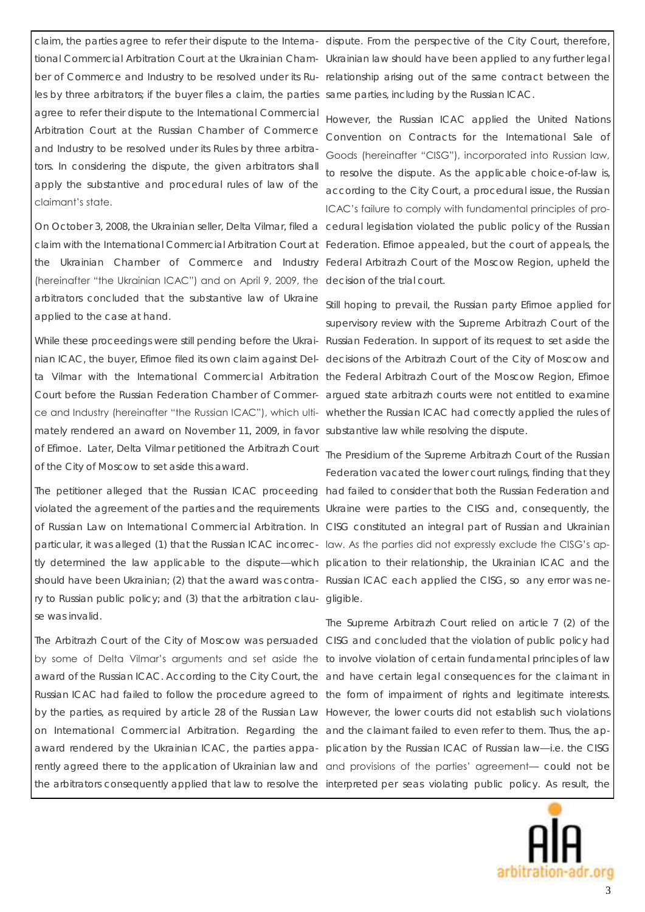les by three arbitrators; if the buyer files a claim, the parties same parties, including by the Russian ICAC. agree to refer their dispute to the International Commercial Arbitration Court at the Russian Chamber of Commerce and Industry to be resolved under its Rules by three arbitrators. In considering the dispute, the given arbitrators shall apply the substantive and procedural rules of law of the claimant's state.

(hereinafter "the Ukrainian ICAC") and on April 9, 2009, the decision of the trial court. arbitrators concluded that the substantive law of Ukraine applied to the case at hand.

mately rendered an award on November 11, 2009, in favor substantive law while resolving the dispute. of Efirnoe. Later, Delta Vilmar petitioned the Arbitrazh Court of the City of Moscow to set aside this award.

The petitioner alleged that the Russian ICAC proceeding had failed to consider that both the Russian Federation and violated the agreement of the parties and the requirements Ukraine were parties to the CISG and, consequently, the of Russian Law on International Commercial Arbitration. In CISG constituted an integral part of Russian and Ukrainian particular, it was alleged (1) that the Russian ICAC incorrec-law. As the parties did not expressly exclude the CISG's aptly determined the law applicable to the dispute—which plication to their relationship, the Ukrainian ICAC and the should have been Ukrainian; (2) that the award was contra-Russian ICAC each applied the CISG, so any error was nery to Russian public policy; and (3) that the arbitration clau-gligible. se was invalid.

The Arbitrazh Court of the City of Moscow was persuaded CISG and concluded that the violation of public policy had by some of Delta Vilmar's arguments and set aside the to involve violation of certain fundamental principles of law award of the Russian ICAC. According to the City Court, the and have certain legal consequences for the claimant in Russian ICAC had failed to follow the procedure agreed to the form of impairment of rights and legitimate interests. by the parties, as required by article 28 of the Russian Law However, the lower courts did not establish such violations on International Commercial Arbitration. Regarding the and the claimant failed to even refer to them. Thus, the apaward rendered by the Ukrainian ICAC, the parties appa- plication by the Russian ICAC of Russian law—i.e. the CISG rently agreed there to the application of Ukrainian law and and provisions of the parties' agreement— could not be the arbitrators consequently applied that law to resolve the interpreted *per se*as violating public policy. As result, the

claim, the parties agree to refer their dispute to the Interna-dispute. From the perspective of the City Court, therefore, tional Commercial Arbitration Court at the Ukrainian Cham-Ukrainian law should have been applied to any further legal ber of Commerce and Industry to be resolved under its Ru- relationship arising out of the same contract between the

On October 3, 2008, the Ukrainian seller, Delta Vilmar, filed a cedural legislation violated the public policy of the Russian claim with the International Commercial Arbitration Court at Federation. Efirnoe appealed, but the court of appeals, the the Ukrainian Chamber of Commerce and Industry Federal Arbitrazh Court of the Moscow Region, upheld the However, the Russian ICAC applied the United Nations Convention on Contracts for the International Sale of Goods (hereinafter "CISG"), incorporated into Russian law, to resolve the dispute. As the applicable choice-of-law is, according to the City Court, a procedural issue, the Russian ICAC's failure to comply with fundamental principles of pro-

While these proceedings were still pending before the Ukrai- Russian Federation. In support of its request to set aside the nian ICAC, the buyer, Efirnoe filed its own claim against Del-decisions of the Arbitrazh Court of the City of Moscow and ta Vilmar with the International Commercial Arbitration the Federal Arbitrazh Court of the Moscow Region, Efirnoe Court before the Russian Federation Chamber of Commer-argued state arbitrazh courts were not entitled to examine ce and Industry (hereinafter "the Russian ICAC"), which ulti- whether the Russian ICAC had correctly applied the rules of Still hoping to prevail, the Russian party Efirnoe applied for supervisory review with the Supreme Arbitrazh Court of the

> The Presidium of the Supreme Arbitrazh Court of the Russian Federation vacated the lower court rulings, finding that they

> The Supreme Arbitrazh Court relied on article 7 (2) of the

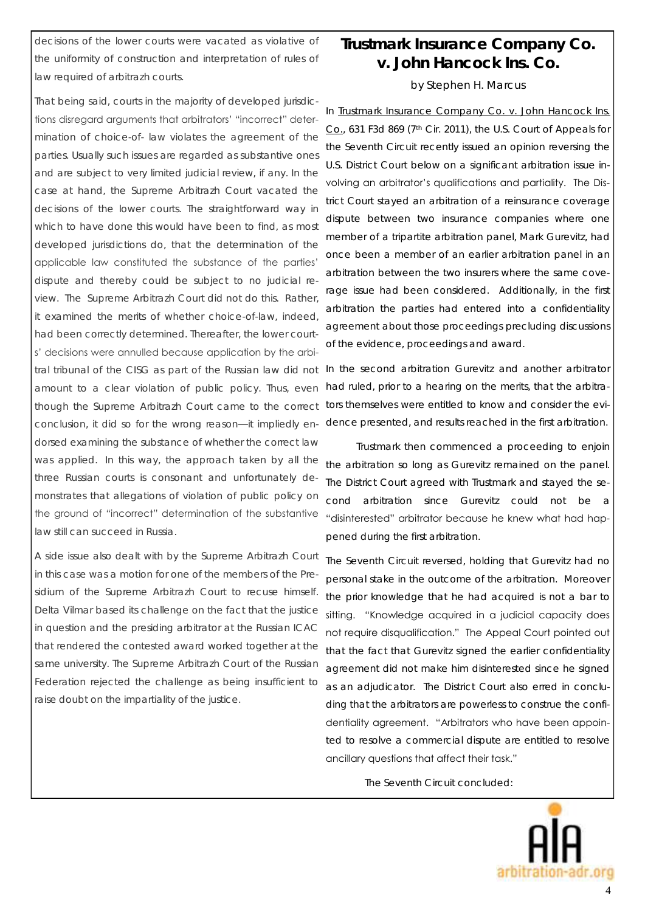decisions of the lower courts were vacated as violative of the uniformity of construction and interpretation of rules of law required of arbitrazh courts.

That being said, courts in the majority of developed jurisdictions disregard arguments that arbitrators' "incorrect" determination of choice-of- law violates the agreement of the parties. Usually such issues are regarded as substantive ones and are subject to very limited judicial review, if any. In the case at hand, the Supreme Arbitrazh Court vacated the decisions of the lower courts. The straightforward way in which to have done this would have been to find, as most developed jurisdictions do, that the determination of the applicable law constituted the substance of the parties' dispute and thereby could be subject to no judicial review. The Supreme Arbitrazh Court did not do this. Rather, it examined the merits of whether choice-of-law, indeed, had been correctly determined. Thereafter, the lower courts' decisions were annulled because application by the arbitral tribunal of the CISG as part of the Russian law did not amount to a clear violation of public policy. Thus, even though the Supreme Arbitrazh Court came to the correct conclusion, it did so for the wrong reason—it impliedly endorsed examining the substance of whether the correct law was applied. In this way, the approach taken by all the three Russian courts is consonant and unfortunately demonstrates that allegations of violation of public policy on the ground of "incorrect" determination of the substantive law still can succeed in Russia.

A side issue also dealt with by the Supreme Arbitrazh Court in this case was a motion for one of the members of the Presidium of the Supreme Arbitrazh Court to recuse himself. Delta Vilmar based its challenge on the fact that the justice in question and the presiding arbitrator at the Russian ICAC that rendered the contested award worked together at the same university. The Supreme Arbitrazh Court of the Russian Federation rejected the challenge as being insufficient to raise doubt on the impartiality of the justice.

### **Trustmark Insurance Company Co. v. John Hancock Ins. Co.** by Stephen H. Marcus

In Trustmark Insurance Company Co. v. John Hancock Ins. Co., 631 F3d 869 (7th Cir. 2011), the U.S. Court of Appeals for the Seventh Circuit recently issued an opinion reversing the U.S. District Court below on a significant arbitration issue involving an arbitrator's qualifications and partiality. The District Court stayed an arbitration of a reinsurance coverage dispute between two insurance companies where one member of a tripartite arbitration panel, Mark Gurevitz, had once been a member of an earlier arbitration panel in an arbitration between the two insurers where the same coverage issue had been considered. Additionally, in the first arbitration the parties had entered into a confidentiality agreement about those proceedings precluding discussions of the evidence, proceedings and award.

In the second arbitration Gurevitz and another arbitrator had ruled, prior to a hearing on the merits, that the arbitrators themselves were entitled to know and consider the evidence presented, and results reached in the first arbitration.

Trustmark then commenced a proceeding to enjoin the arbitration so long as Gurevitz remained on the panel. The District Court agreed with Trustmark and stayed the second arbitration since Gurevitz could not be a "disinterested" arbitrator because he knew what had happened during the first arbitration.

The Seventh Circuit reversed, holding that Gurevitz had no personal stake in the outcome of the arbitration. Moreover the prior knowledge that he had acquired is not a bar to sitting. "Knowledge acquired in a judicial capacity does not require disqualification." The Appeal Court pointed out that the fact that Gurevitz signed the earlier confidentiality agreement did not make him disinterested since he signed as an adjudicator. The District Court also erred in concluding that the arbitrators are powerless to construe the confidentiality agreement. "Arbitrators who have been appointed to resolve a commercial dispute are entitled to resolve ancillary questions that affect their task.‖

The Seventh Circuit concluded:

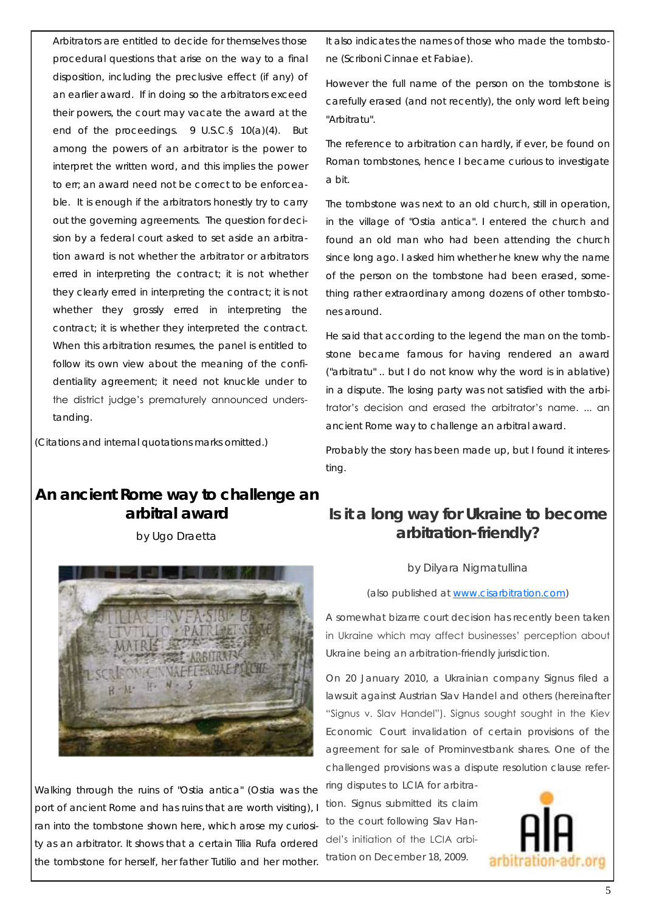Arbitrators are entitled to decide for themselves those procedural questions that arise on the way to a final disposition, including the preclusive effect (if any) of an earlier award. If in doing so the arbitrators exceed their powers, the court may vacate the award at the end of the proceedings. 9 U.S.C.§ 10(a)(4). But among the powers of an arbitrator is the power to interpret the written word, and this implies the power to err; an award need not be correct to be enforceable. It is enough if the arbitrators honestly try to carry out the governing agreements. The question for decision by a federal court asked to set aside an arbitration award is not whether the arbitrator or arbitrators erred in interpreting the contract; it is not whether they clearly erred in interpreting the contract; it is not whether they grossly erred in interpreting the contract; it is whether they interpreted the contract. When this arbitration resumes, the panel is entitled to follow its own view about the meaning of the confidentiality agreement; it need not knuckle under to the district judge's prematurely announced understanding.

(Citations and internal quotations marks omitted.)

### **An ancient Rome way to challenge an arbitral award** by Ugo Draetta



Walking through the ruins of "Ostia antica" (Ostia was the port of ancient Rome and has ruins that are worth visiting), I ran into the tombstone shown here, which arose my curiosity as an arbitrator. It shows that a certain Tilia Rufa ordered the tombstone for herself, her father Tutilio and her mother.

It also indicates the names of those who made the tombstone (Scriboni Cinnae et Fabiae).

However the full name of the person on the tombstone is carefully erased (and not recently), the only word left being "Arbitratu".

The reference to arbitration can hardly, if ever, be found on Roman tombstones, hence I became curious to investigate a bit.

The tombstone was next to an old church, still in operation, in the village of "Ostia antica". I entered the church and found an old man who had been attending the church since long ago. I asked him whether he knew why the name of the person on the tombstone had been erased, something rather extraordinary among dozens of other tombstones around.

He said that according to the legend the man on the tombstone became famous for having rendered an award ("arbitratu" .. but I do not know why the word is in ablative) in a dispute. The losing party was not satisfied with the arbitrator's decision and erased the arbitrator's name. ... an ancient Rome way to challenge an arbitral award.

Probably the story has been made up, but I found it interesting.

### **Is it a long way for Ukraine to become arbitration-friendly?**

#### by Dilyara Nigmatullina

#### (also published at [www.cisarbitration.com\)](http://www.cisarbitration.com)

A somewhat bizarre court decision has recently been taken in Ukraine which may affect businesses' perception about Ukraine being an arbitration-friendly jurisdiction.

On 20 January 2010, a Ukrainian company Signus filed a lawsuit against Austrian Slav Handel and others (hereinafter "Signus v. Slav Handel"). Signus sought sought in the Kiev Economic Court invalidation of certain provisions of the agreement for sale of Prominvestbank shares. One of the challenged provisions was a dispute resolution clause refer-

ring disputes to LCIA for arbitration. Signus submitted its claim to the court following Slav Handel's initiation of the LCIA arbitration on December 18, 2009.

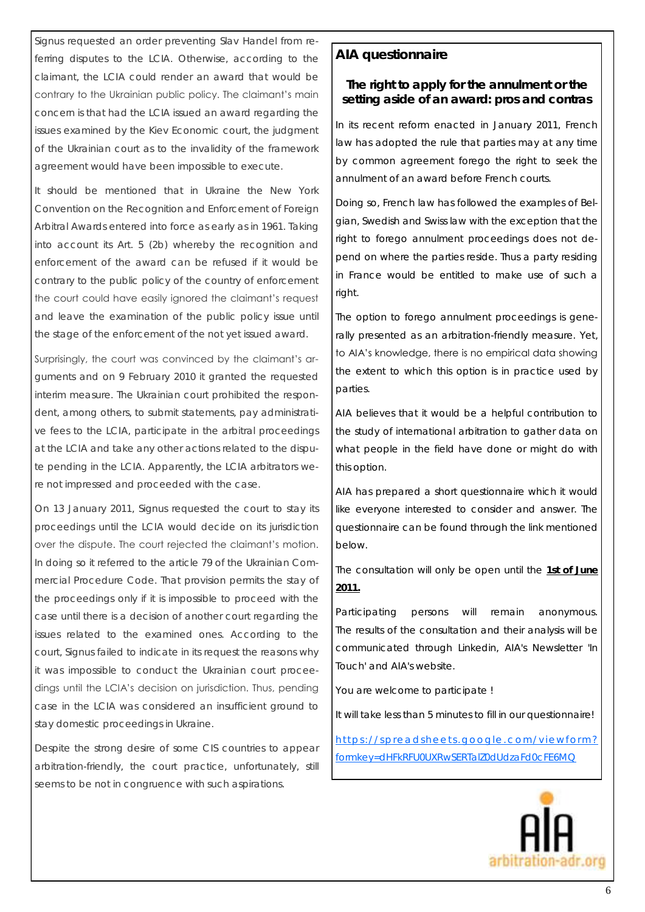Signus requested an order preventing Slav Handel from referring disputes to the LCIA. Otherwise, according to the claimant, the LCIA could render an award that would be contrary to the Ukrainian public policy. The claimant's main concern is that had the LCIA issued an award regarding the issues examined by the Kiev Economic court, the judgment of the Ukrainian court as to the invalidity of the framework agreement would have been impossible to execute.

It should be mentioned that in Ukraine the New York Convention on the Recognition and Enforcement of Foreign Arbitral Awards entered into force as early as in 1961. Taking into account its Art. 5 (2b) whereby the recognition and enforcement of the award can be refused if it would be contrary to the public policy of the country of enforcement the court could have easily ignored the claimant's request and leave the examination of the public policy issue until the stage of the enforcement of the not yet issued award.

Surprisingly, the court was convinced by the claimant's arguments and on 9 February 2010 it granted the requested interim measure. The Ukrainian court prohibited the respondent, among others, to submit statements, pay administrative fees to the LCIA, participate in the arbitral proceedings at the LCIA and take any other actions related to the dispute pending in the LCIA. Apparently, the LCIA arbitrators were not impressed and proceeded with the case.

On 13 January 2011, Signus requested the court to stay its proceedings until the LCIA would decide on its jurisdiction over the dispute. The court rejected the claimant's motion. In doing so it referred to the article 79 of the Ukrainian Commercial Procedure Code. That provision permits the stay of the proceedings only if it is impossible to proceed with the case until there is a decision of another court regarding the issues related to the examined ones. According to the court, Signus failed to indicate in its request the reasons why it was impossible to conduct the Ukrainian court proceedings until the LCIA's decision on jurisdiction. Thus, pending case in the LCIA was considered an insufficient ground to stay domestic proceedings in Ukraine.

Despite the strong desire of some CIS countries to appear arbitration-friendly, the court practice, unfortunately, still seems to be not in congruence with such aspirations.

#### **AIA questionnaire**

**The right to apply for the annulment or the setting aside of an award: pros and contras**

In its recent reform enacted in January 2011, French law has adopted the rule that parties may at any time by common agreement forego the right to seek the annulment of an award before French courts.

Doing so, French law has followed the examples of Belgian, Swedish and Swiss law with the exception that the right to forego annulment proceedings does not depend on where the parties reside. Thus a party residing in France would be entitled to make use of such a right.

The option to forego annulment proceedings is generally presented as an arbitration-friendly measure. Yet, to AIA's knowledge, there is no empirical data showing the extent to which this option is in practice used by parties.

AIA believes that it would be a helpful contribution to the study of international arbitration to gather data on what people in the field have done or might do with this option.

AIA has prepared a short questionnaire which it would like everyone interested to consider and answer. The questionnaire can be found through the link mentioned below.

The consultation will only be open until the **1st of June 2011.** 

Participating persons will remain anonymous. The results of the consultation and their analysis will be communicated through Linkedin, AIA's Newsletter 'In Touch' and AIA's website.

You are welcome to participate !

It will take less than 5 minutes to fill in our questionnaire!

https://spreadsheets.google.com/viewform? [formkey=dHFkRFU0UXRwSERTalZ0dUdzaFd0cFE6MQ](https://spreadsheets.google.com/viewform?formkey=dHFkRFU0UXRwSERTalZ0dUdzaFd0cFE6MQ)